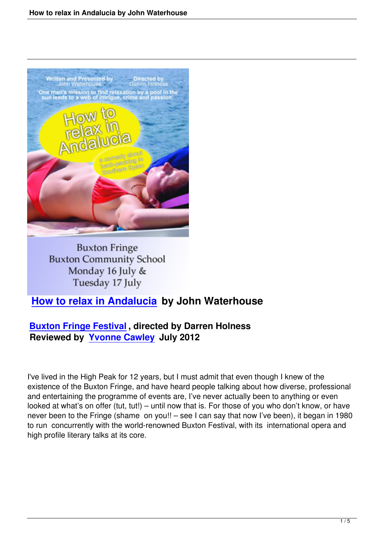

**Buxton Fringe Buxton Community School** Monday 16 July & Tuesday 17 July

## **How to relax in Andalucia by John Waterhouse**

## **Buxton Fringe Festival , directed by Darren Holness [Reviewed by Yvonne Cawley](how-to-relax-in-andalucia-buxton-fringe.html) July 2012**

I've lived in the Hi[gh Peak for 12 year](writers.html#yvonne-cawley)s, but I must admit that even though I knew of the existence of the Buxton Fringe, and have heard people talking about how diverse, professional and entertaining the programme of events are, I've never actually been to anything or even looked at what's on offer (tut, tut!) – until now that is. For those of you who don't know, or have never been to the Fringe (shame on you!! – see I can say that now I've been), it began in 1980 to run concurrently with the world-renowned Buxton Festival, with its international opera and high profile literary talks at its core.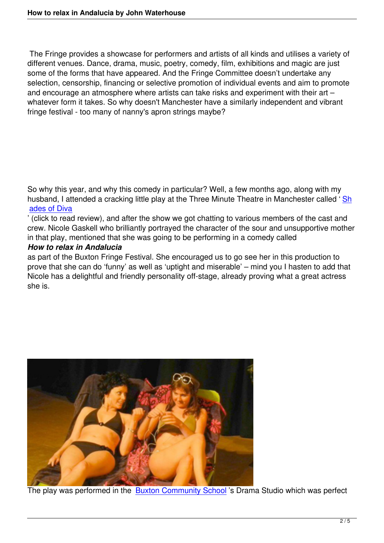The Fringe provides a showcase for performers and artists of all kinds and utilises a variety of different venues. Dance, drama, music, poetry, comedy, film, exhibitions and magic are just some of the forms that have appeared. And the Fringe Committee doesn't undertake any selection, censorship, financing or selective promotion of individual events and aim to promote and encourage an atmosphere where artists can take risks and experiment with their art – whatever form it takes. So why doesn't Manchester have a similarly independent and vibrant fringe festival - too many of nanny's apron strings maybe?

So why this year, and why this comedy in particular? Well, a few months ago, along with my husband, I attended a cracking little play at the Three Minute Theatre in Manchester called 'Sh ades of Diva

' (click to read review), and after the show we got chatting to various members of the cast and crew. Nicole Gaskell who brilliantly portrayed the character of the sour and unsupportive mo[the](shades-of-diva-lloyd-eyre-morgan.html)r [in that play, m](shades-of-diva-lloyd-eyre-morgan.html)entioned that she was going to be performing in a comedy called

## *How to relax in Andalucia*

as part of the Buxton Fringe Festival. She encouraged us to go see her in this production to prove that she can do 'funny' as well as 'uptight and miserable' – mind you I hasten to add that Nicole has a delightful and friendly personality off-stage, already proving what a great actress she is.



The play was performed in the Buxton Community School 's Drama Studio which was perfect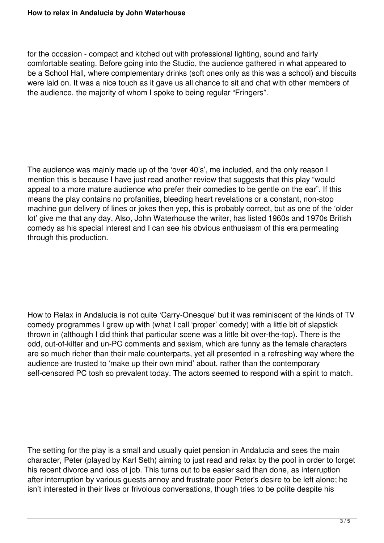for the occasion - compact and kitched out with professional lighting, sound and fairly comfortable seating. Before going into the Studio, the audience gathered in what appeared to be a School Hall, where complementary drinks (soft ones only as this was a school) and biscuits were laid on. It was a nice touch as it gave us all chance to sit and chat with other members of the audience, the majority of whom I spoke to being regular "Fringers".

The audience was mainly made up of the 'over 40's', me included, and the only reason I mention this is because I have just read another review that suggests that this play "would appeal to a more mature audience who prefer their comedies to be gentle on the ear". If this means the play contains no profanities, bleeding heart revelations or a constant, non-stop machine gun delivery of lines or jokes then yep, this is probably correct, but as one of the 'older lot' give me that any day. Also, John Waterhouse the writer, has listed 1960s and 1970s British comedy as his special interest and I can see his obvious enthusiasm of this era permeating through this production.

How to Relax in Andalucia is not quite 'Carry-Onesque' but it was reminiscent of the kinds of TV comedy programmes I grew up with (what I call 'proper' comedy) with a little bit of slapstick thrown in (although I did think that particular scene was a little bit over-the-top). There is the odd, out-of-kilter and un-PC comments and sexism, which are funny as the female characters are so much richer than their male counterparts, yet all presented in a refreshing way where the audience are trusted to 'make up their own mind' about, rather than the contemporary self-censored PC tosh so prevalent today. The actors seemed to respond with a spirit to match.

The setting for the play is a small and usually quiet pension in Andalucia and sees the main character, Peter (played by Karl Seth) aiming to just read and relax by the pool in order to forget his recent divorce and loss of job. This turns out to be easier said than done, as interruption after interruption by various guests annoy and frustrate poor Peter's desire to be left alone; he isn't interested in their lives or frivolous conversations, though tries to be polite despite his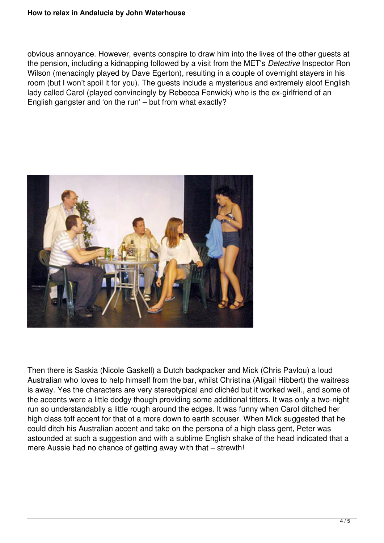obvious annoyance. However, events conspire to draw him into the lives of the other guests at the pension, including a kidnapping followed by a visit from the MET's *Detective* Inspector Ron Wilson (menacingly played by Dave Egerton), resulting in a couple of overnight stayers in his room (but I won't spoil it for you). The guests include a mysterious and extremely aloof English lady called Carol (played convincingly by Rebecca Fenwick) who is the ex-girlfriend of an English gangster and 'on the run' – but from what exactly?



Then there is Saskia (Nicole Gaskell) a Dutch backpacker and Mick (Chris Pavlou) a loud Australian who loves to help himself from the bar, whilst Christina (Aligail Hibbert) the waitress is away. Yes the characters are very stereotypical and clichéd but it worked well., and some of the accents were a little dodgy though providing some additional titters. It was only a two-night run so understandablly a little rough around the edges. It was funny when Carol ditched her high class toff accent for that of a more down to earth scouser. When Mick suggested that he could ditch his Australian accent and take on the persona of a high class gent, Peter was astounded at such a suggestion and with a sublime English shake of the head indicated that a mere Aussie had no chance of getting away with that – strewth!